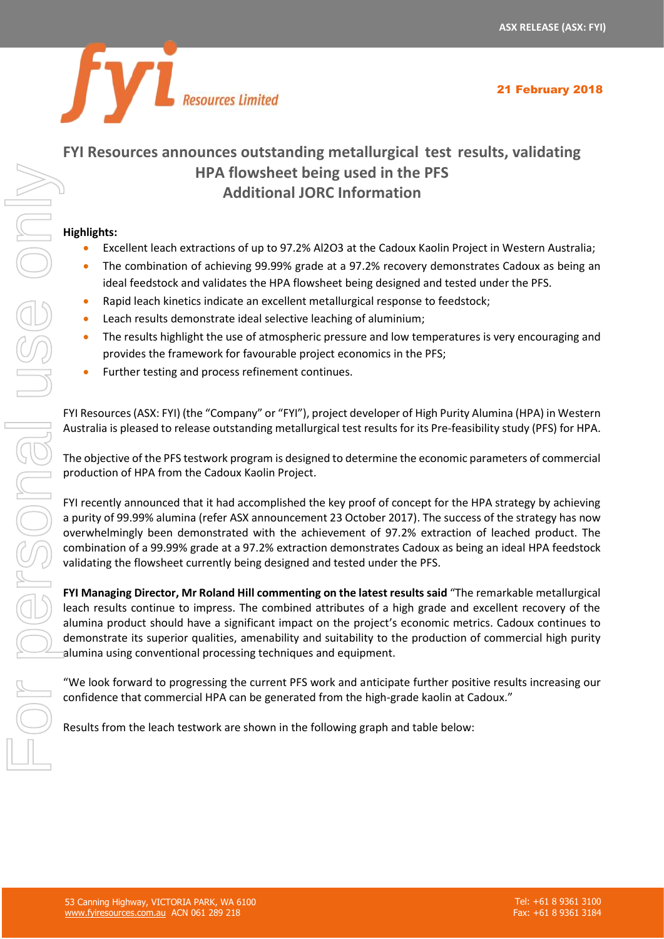

# **FYI Resources announces outstanding metallurgical test results, validating HPA flowsheet being used in the PFS**

# **Additional JORC Information**

#### **Highlights:**

- Excellent leach extractions of up to 97.2% Al2O3 at the Cadoux Kaolin Project in Western Australia;
- The combination of achieving 99.99% grade at a 97.2% recovery demonstrates Cadoux as being an ideal feedstock and validates the HPA flowsheet being designed and tested under the PFS.
- Rapid leach kinetics indicate an excellent metallurgical response to feedstock;
- Leach results demonstrate ideal selective leaching of aluminium;
- The results highlight the use of atmospheric pressure and low temperatures is very encouraging and provides the framework for favourable project economics in the PFS;
- Further testing and process refinement continues.

FYI Resources (ASX: FYI) (the "Company" or "FYI"), project developer of High Purity Alumina (HPA) in Western Australia is pleased to release outstanding metallurgical test results for its Pre-feasibility study (PFS) for HPA.

The objective of the PFS testwork program is designed to determine the economic parameters of commercial production of HPA from the Cadoux Kaolin Project.

FYI recently announced that it had accomplished the key proof of concept for the HPA strategy by achieving a purity of 99.99% alumina (refer ASX announcement 23 October 2017). The success of the strategy has now overwhelmingly been demonstrated with the achievement of 97.2% extraction of leached product. The combination of a 99.99% grade at a 97.2% extraction demonstrates Cadoux as being an ideal HPA feedstock validating the flowsheet currently being designed and tested under the PFS.

**FYI Managing Director, Mr Roland Hill commenting on the latest results said** "The remarkable metallurgical leach results continue to impress. The combined attributes of a high grade and excellent recovery of the alumina product should have a significant impact on the project's economic metrics. Cadoux continues to demonstrate its superior qualities, amenability and suitability to the production of commercial high purity alumina using conventional processing techniques and equipment.

"We look forward to progressing the current PFS work and anticipate further positive results increasing our confidence that commercial HPA can be generated from the high-grade kaolin at Cadoux."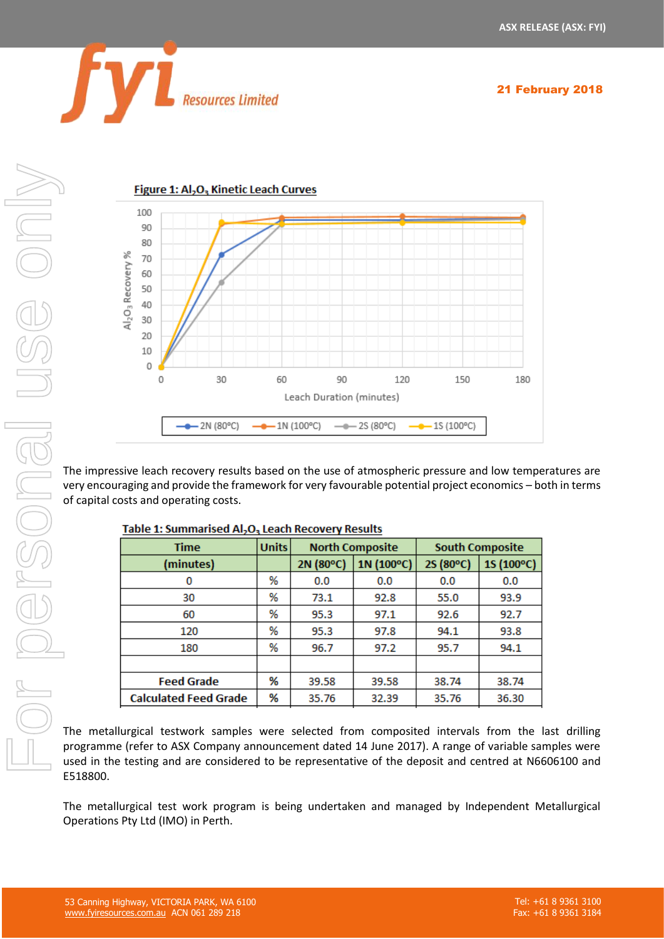



The impressive leach recovery results based on the use of atmospheric pressure and low temperatures are very encouraging and provide the framework for very favourable potential project economics – both in terms of capital costs and operating costs.

| Time                         | <b>Units</b> | <b>North Composite</b> |            |           | <b>South Composite</b> |
|------------------------------|--------------|------------------------|------------|-----------|------------------------|
| (minutes)                    |              | 2N (80°C)              | 1N (100°C) | 2S (80°C) | 1S (100°C)             |
| 0                            | %            | 0.0                    | 0.0        | 0.0       | 0.0                    |
| 30                           | %            | 73.1                   | 92.8       | 55.0      | 93.9                   |
| 60                           | %            | 95.3                   | 97.1       | 92.6      | 92.7                   |
| 120                          | %            | 95.3                   | 97.8       | 94.1      | 93.8                   |
| 180                          | %            | 96.7                   | 97.2       | 95.7      | 94.1                   |
|                              |              |                        |            |           |                        |
| <b>Feed Grade</b>            | %            | 39.58                  | 39.58      | 38.74     | 38.74                  |
| <b>Calculated Feed Grade</b> | %            | 35.76                  | 32.39      | 35.76     | 36.30                  |

The metallurgical testwork samples were selected from composited intervals from the last drilling programme (refer to ASX Company announcement dated 14 June 2017). A range of variable samples were used in the testing and are considered to be representative of the deposit and centred at N6606100 and E518800.

The metallurgical test work program is being undertaken and managed by Independent Metallurgical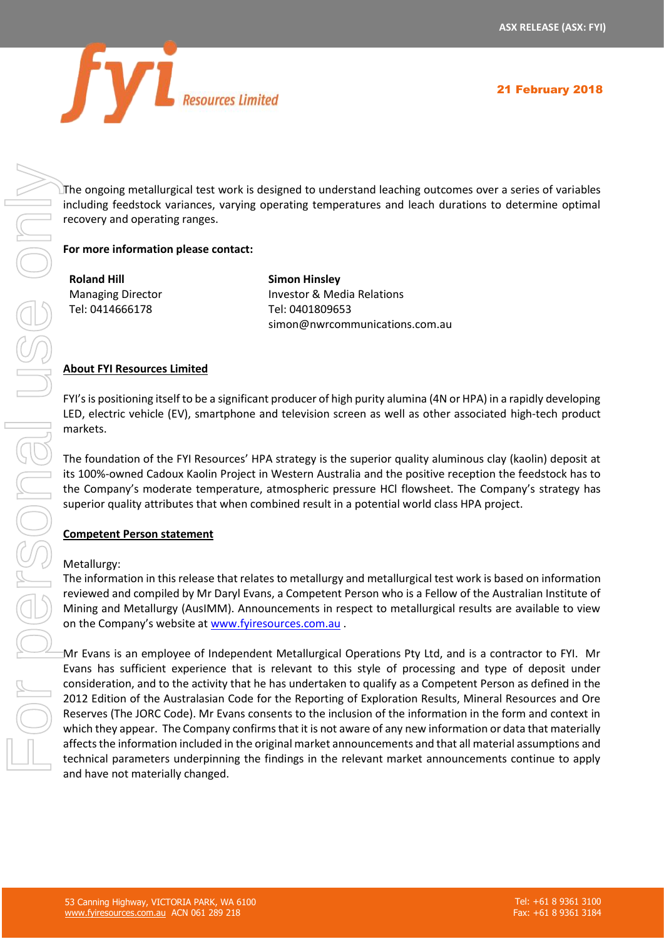

The ongoing metallurgical test work is designed to understand leaching outcomes over a series of variables including feedstock variances, varying operating temperatures and leach durations to determine optimal recovery and operating ranges.

#### **For more information please contact:**

**Roland Hill** Managing Director Tel: 0414666178

**Simon Hinsley** Investor & Media Relations Tel: 0401809653 simon@nwrcommunications.com.au

#### **About FYI Resources Limited**

FYI's is positioning itself to be a significant producer of high purity alumina (4N or HPA) in a rapidly developing LED, electric vehicle (EV), smartphone and television screen as well as other associated high-tech product markets.

The foundation of the FYI Resources' HPA strategy is the superior quality aluminous clay (kaolin) deposit at its 100%-owned Cadoux Kaolin Project in Western Australia and the positive reception the feedstock has to the Company's moderate temperature, atmospheric pressure HCl flowsheet. The Company's strategy has superior quality attributes that when combined result in a potential world class HPA project.

#### **Competent Person statement**

#### Metallurgy:

The information in this release that relates to metallurgy and metallurgical test work is based on information reviewed and compiled by Mr Daryl Evans, a Competent Person who is a Fellow of the Australian Institute of Mining and Metallurgy (AusIMM). Announcements in respect to metallurgical results are available to view on the Company's website at [www.fyiresources.com.au](http://www.fyiresources.com.au/) .

Mr Evans is an employee of Independent Metallurgical Operations Pty Ltd, and is a contractor to FYI. Mr Evans has sufficient experience that is relevant to this style of processing and type of deposit under consideration, and to the activity that he has undertaken to qualify as a Competent Person as defined in the 2012 Edition of the Australasian Code for the Reporting of Exploration Results, Mineral Resources and Ore Reserves (The JORC Code). Mr Evans consents to the inclusion of the information in the form and context in which they appear. The Company confirms that it is not aware of any new information or data that materially affects the information included in the original market announcements and that all material assumptions and The ongoing metallurigical text work is designed to understand leadsing outcomes over a series of variable receivery and operating tempes.<br>
For more information please contact:<br>
For more information please contact:<br>
For mo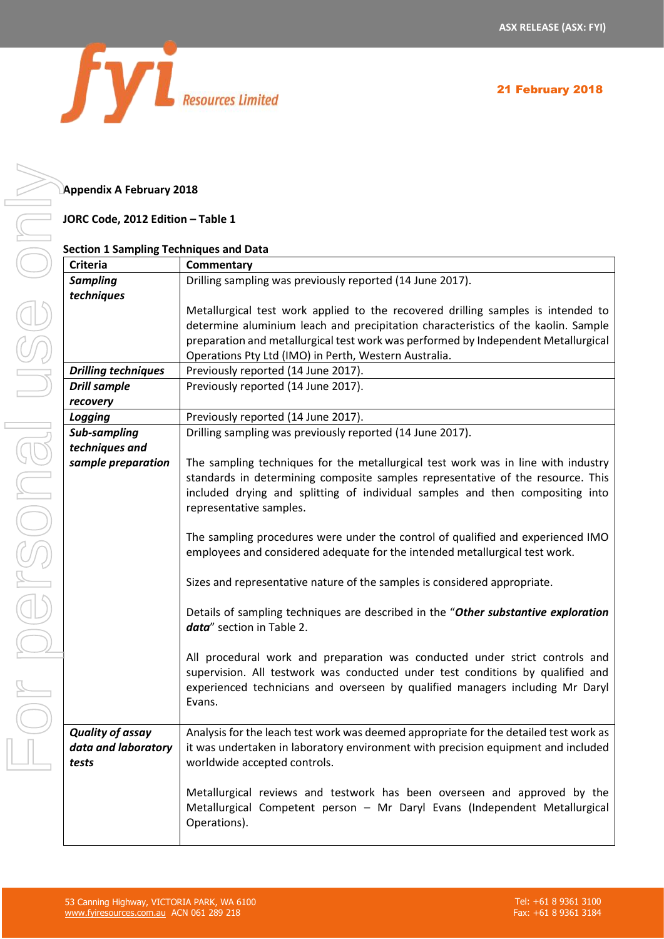

### **Appendix A February 2018**

#### **JORC Code, 2012 Edition – Table 1**

#### **Section 1 Sampling Techniques and Data**

| <b>Criteria</b>            | Commentary                                                                            |
|----------------------------|---------------------------------------------------------------------------------------|
| <b>Sampling</b>            | Drilling sampling was previously reported (14 June 2017).                             |
| techniques                 |                                                                                       |
|                            | Metallurgical test work applied to the recovered drilling samples is intended to      |
|                            |                                                                                       |
|                            | determine aluminium leach and precipitation characteristics of the kaolin. Sample     |
|                            | preparation and metallurgical test work was performed by Independent Metallurgical    |
|                            | Operations Pty Ltd (IMO) in Perth, Western Australia.                                 |
| <b>Drilling techniques</b> | Previously reported (14 June 2017).                                                   |
| <b>Drill sample</b>        | Previously reported (14 June 2017).                                                   |
| recovery                   |                                                                                       |
| Logging                    | Previously reported (14 June 2017).                                                   |
| Sub-sampling               | Drilling sampling was previously reported (14 June 2017).                             |
| techniques and             |                                                                                       |
| sample preparation         | The sampling techniques for the metallurgical test work was in line with industry     |
|                            | standards in determining composite samples representative of the resource. This       |
|                            | included drying and splitting of individual samples and then compositing into         |
|                            | representative samples.                                                               |
|                            |                                                                                       |
|                            | The sampling procedures were under the control of qualified and experienced IMO       |
|                            | employees and considered adequate for the intended metallurgical test work.           |
|                            |                                                                                       |
|                            | Sizes and representative nature of the samples is considered appropriate.             |
|                            |                                                                                       |
|                            | Details of sampling techniques are described in the "Other substantive exploration    |
|                            | data" section in Table 2.                                                             |
|                            |                                                                                       |
|                            | All procedural work and preparation was conducted under strict controls and           |
|                            | supervision. All testwork was conducted under test conditions by qualified and        |
|                            | experienced technicians and overseen by qualified managers including Mr Daryl         |
|                            | Evans.                                                                                |
|                            |                                                                                       |
| <b>Quality of assay</b>    | Analysis for the leach test work was deemed appropriate for the detailed test work as |
| data and laboratory        | it was undertaken in laboratory environment with precision equipment and included     |
|                            | worldwide accepted controls.                                                          |
| tests                      |                                                                                       |
|                            |                                                                                       |
|                            | Metallurgical reviews and testwork has been overseen and approved by the              |
|                            | Metallurgical Competent person - Mr Daryl Evans (Independent Metallurgical            |
|                            | Operations).                                                                          |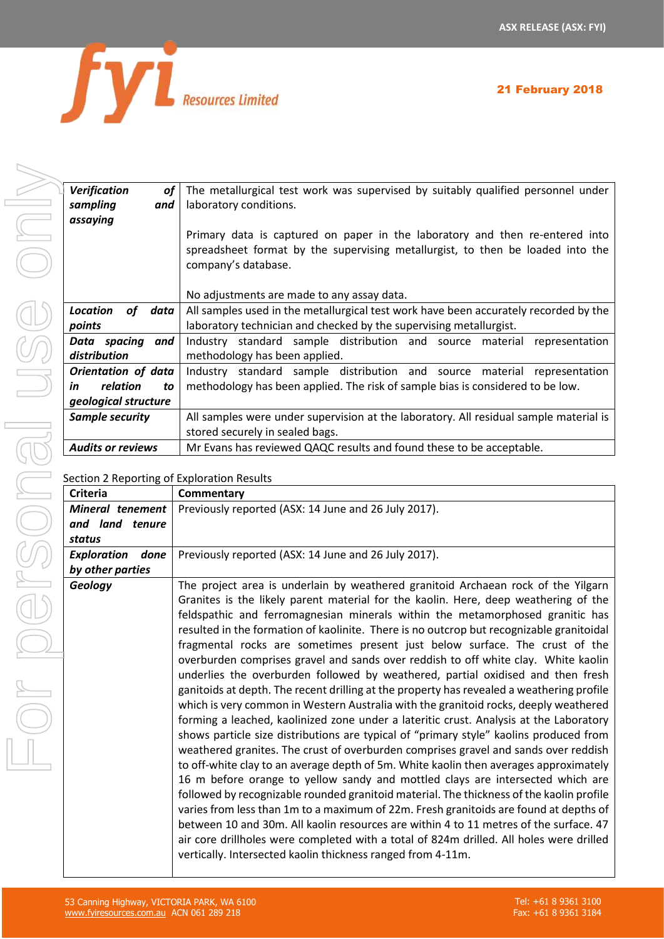

| 21 February 2018 |  |  |
|------------------|--|--|
|------------------|--|--|

| Verification<br>οf       | The metallurgical test work was supervised by suitably qualified personnel under                                                                                                      |  |
|--------------------------|---------------------------------------------------------------------------------------------------------------------------------------------------------------------------------------|--|
| sampling<br>and          | laboratory conditions.                                                                                                                                                                |  |
| assaying                 |                                                                                                                                                                                       |  |
|                          | Primary data is captured on paper in the laboratory and then re-entered into<br>spreadsheet format by the supervising metallurgist, to then be loaded into the<br>company's database. |  |
|                          | No adjustments are made to any assay data.                                                                                                                                            |  |
| Location<br>of<br>data   | All samples used in the metallurgical test work have been accurately recorded by the                                                                                                  |  |
| points                   | laboratory technician and checked by the supervising metallurgist.                                                                                                                    |  |
| Data spacing<br>and      | Industry standard sample distribution and source material<br>representation                                                                                                           |  |
| distribution             | methodology has been applied.                                                                                                                                                         |  |
| Orientation of data      | Industry standard sample distribution and source material<br>representation                                                                                                           |  |
| relation<br>in<br>to     | methodology has been applied. The risk of sample bias is considered to be low.                                                                                                        |  |
| geological structure     |                                                                                                                                                                                       |  |
| Sample security          | All samples were under supervision at the laboratory. All residual sample material is                                                                                                 |  |
|                          | stored securely in sealed bags.                                                                                                                                                       |  |
| <b>Audits or reviews</b> | Mr Evans has reviewed QAQC results and found these to be acceptable.                                                                                                                  |  |
|                          |                                                                                                                                                                                       |  |

## Section 2 Reporting of Exploration Results

|                            | section z Reporting or Exploration Results                                                                                                                                                                                                                                                                                                                                                                                                                                                                                                                                                                                                                                                                                                                                                                                                                                                                                                                                                                                                                                                                                                                                                                                                                                                                                                                                                                                                                                                                                                                                                                                                                                                       |
|----------------------------|--------------------------------------------------------------------------------------------------------------------------------------------------------------------------------------------------------------------------------------------------------------------------------------------------------------------------------------------------------------------------------------------------------------------------------------------------------------------------------------------------------------------------------------------------------------------------------------------------------------------------------------------------------------------------------------------------------------------------------------------------------------------------------------------------------------------------------------------------------------------------------------------------------------------------------------------------------------------------------------------------------------------------------------------------------------------------------------------------------------------------------------------------------------------------------------------------------------------------------------------------------------------------------------------------------------------------------------------------------------------------------------------------------------------------------------------------------------------------------------------------------------------------------------------------------------------------------------------------------------------------------------------------------------------------------------------------|
| <b>Criteria</b>            | Commentary                                                                                                                                                                                                                                                                                                                                                                                                                                                                                                                                                                                                                                                                                                                                                                                                                                                                                                                                                                                                                                                                                                                                                                                                                                                                                                                                                                                                                                                                                                                                                                                                                                                                                       |
| Mineral tenement           | Previously reported (ASX: 14 June and 26 July 2017).                                                                                                                                                                                                                                                                                                                                                                                                                                                                                                                                                                                                                                                                                                                                                                                                                                                                                                                                                                                                                                                                                                                                                                                                                                                                                                                                                                                                                                                                                                                                                                                                                                             |
| and land tenure            |                                                                                                                                                                                                                                                                                                                                                                                                                                                                                                                                                                                                                                                                                                                                                                                                                                                                                                                                                                                                                                                                                                                                                                                                                                                                                                                                                                                                                                                                                                                                                                                                                                                                                                  |
| status                     |                                                                                                                                                                                                                                                                                                                                                                                                                                                                                                                                                                                                                                                                                                                                                                                                                                                                                                                                                                                                                                                                                                                                                                                                                                                                                                                                                                                                                                                                                                                                                                                                                                                                                                  |
| <b>Exploration</b><br>done | Previously reported (ASX: 14 June and 26 July 2017).                                                                                                                                                                                                                                                                                                                                                                                                                                                                                                                                                                                                                                                                                                                                                                                                                                                                                                                                                                                                                                                                                                                                                                                                                                                                                                                                                                                                                                                                                                                                                                                                                                             |
| by other parties           |                                                                                                                                                                                                                                                                                                                                                                                                                                                                                                                                                                                                                                                                                                                                                                                                                                                                                                                                                                                                                                                                                                                                                                                                                                                                                                                                                                                                                                                                                                                                                                                                                                                                                                  |
| <b>Geology</b>             | The project area is underlain by weathered granitoid Archaean rock of the Yilgarn<br>Granites is the likely parent material for the kaolin. Here, deep weathering of the<br>feldspathic and ferromagnesian minerals within the metamorphosed granitic has<br>resulted in the formation of kaolinite. There is no outcrop but recognizable granitoidal<br>fragmental rocks are sometimes present just below surface. The crust of the<br>overburden comprises gravel and sands over reddish to off white clay. White kaolin<br>underlies the overburden followed by weathered, partial oxidised and then fresh<br>ganitoids at depth. The recent drilling at the property has revealed a weathering profile<br>which is very common in Western Australia with the granitoid rocks, deeply weathered<br>forming a leached, kaolinized zone under a lateritic crust. Analysis at the Laboratory<br>shows particle size distributions are typical of "primary style" kaolins produced from<br>weathered granites. The crust of overburden comprises gravel and sands over reddish<br>to off-white clay to an average depth of 5m. White kaolin then averages approximately<br>16 m before orange to yellow sandy and mottled clays are intersected which are<br>followed by recognizable rounded granitoid material. The thickness of the kaolin profile<br>varies from less than 1m to a maximum of 22m. Fresh granitoids are found at depths of<br>between 10 and 30m. All kaolin resources are within 4 to 11 metres of the surface. 47<br>air core drillholes were completed with a total of 824m drilled. All holes were drilled<br>vertically. Intersected kaolin thickness ranged from 4-11m. |